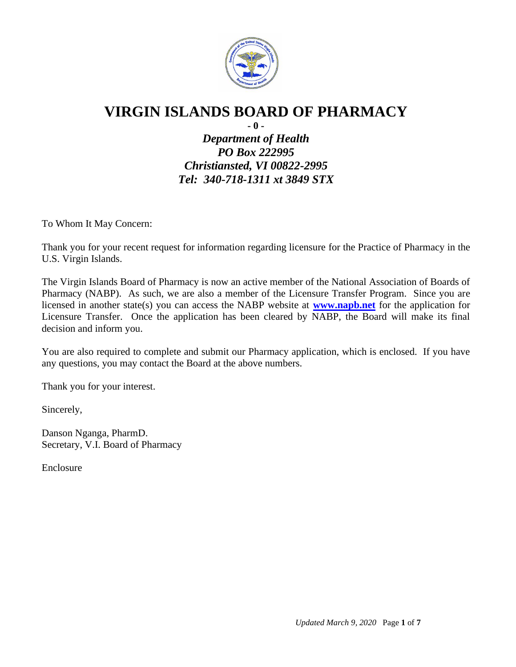

# **VIRGIN ISLANDS BOARD OF PHARMACY**

**- 0 -**

*Department of Health PO Box 222995 Christiansted, VI 00822-2995 Tel: 340-718-1311 xt 3849 STX*

To Whom It May Concern:

Thank you for your recent request for information regarding licensure for the Practice of Pharmacy in the U.S. Virgin Islands.

The Virgin Islands Board of Pharmacy is now an active member of the National Association of Boards of Pharmacy (NABP). As such, we are also a member of the Licensure Transfer Program. Since you are licensed in another state(s) you can access the NABP website at **[www.napb.net](http://www.napb.net/)** for the application for Licensure Transfer. Once the application has been cleared by NABP, the Board will make its final decision and inform you.

You are also required to complete and submit our Pharmacy application, which is enclosed. If you have any questions, you may contact the Board at the above numbers.

Thank you for your interest.

Sincerely,

Danson Nganga, PharmD. Secretary, V.I. Board of Pharmacy

Enclosure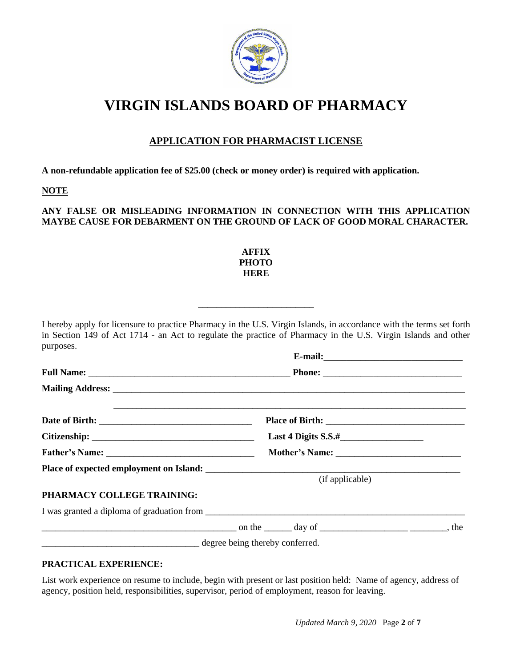

# **VIRGIN ISLANDS BOARD OF PHARMACY**

## **APPLICATION FOR PHARMACIST LICENSE**

**A non-refundable application fee of \$25.00 (check or money order) is required with application.**

#### **NOTE**

#### **ANY FALSE OR MISLEADING INFORMATION IN CONNECTION WITH THIS APPLICATION MAYBE CAUSE FOR DEBARMENT ON THE GROUND OF LACK OF GOOD MORAL CHARACTER.**

#### **AFFIX PHOTO HERE**

**\_\_\_\_\_\_\_\_\_\_\_\_\_\_\_\_\_\_\_\_\_\_\_\_\_**

I hereby apply for licensure to practice Pharmacy in the U.S. Virgin Islands, in accordance with the terms set forth in Section 149 of Act 1714 - an Act to regulate the practice of Pharmacy in the U.S. Virgin Islands and other purposes. **E-mail:\_\_\_\_\_\_\_\_\_\_\_\_\_\_\_\_\_\_\_\_\_\_\_\_\_\_\_\_\_\_ Full Name:** \_\_\_\_\_\_\_\_\_\_\_\_\_\_\_\_\_\_\_\_\_\_\_\_\_\_\_\_\_\_\_\_\_\_\_\_\_\_\_\_\_\_\_\_\_\_\_\_ **Phone:** \_\_\_\_\_\_\_\_\_\_\_\_\_\_\_\_\_\_\_\_\_\_\_\_\_\_\_\_\_\_\_\_\_ **Mailing Address:** \_\_\_\_\_\_\_\_\_\_\_\_\_\_\_\_\_\_\_\_\_\_\_\_\_\_\_\_\_\_\_\_\_\_\_\_\_\_\_\_\_\_\_\_\_\_\_\_\_\_\_\_\_\_\_\_\_\_\_\_\_\_\_\_\_\_\_\_\_\_\_\_\_\_\_\_

|                                                                                                   |                 | Last 4 Digits $S.S.$ # |     |
|---------------------------------------------------------------------------------------------------|-----------------|------------------------|-----|
|                                                                                                   |                 |                        |     |
|                                                                                                   |                 |                        |     |
|                                                                                                   | (if applicable) |                        |     |
| PHARMACY COLLEGE TRAINING:                                                                        |                 |                        |     |
| I was granted a diploma of graduation from                                                        |                 |                        |     |
| $\frac{1}{2}$ on the $\frac{1}{2}$ day of $\frac{1}{2}$ day of $\frac{1}{2}$ day of $\frac{1}{2}$ |                 |                        | the |

degree being thereby conferred.

#### **PRACTICAL EXPERIENCE:**

List work experience on resume to include, begin with present or last position held: Name of agency, address of agency, position held, responsibilities, supervisor, period of employment, reason for leaving.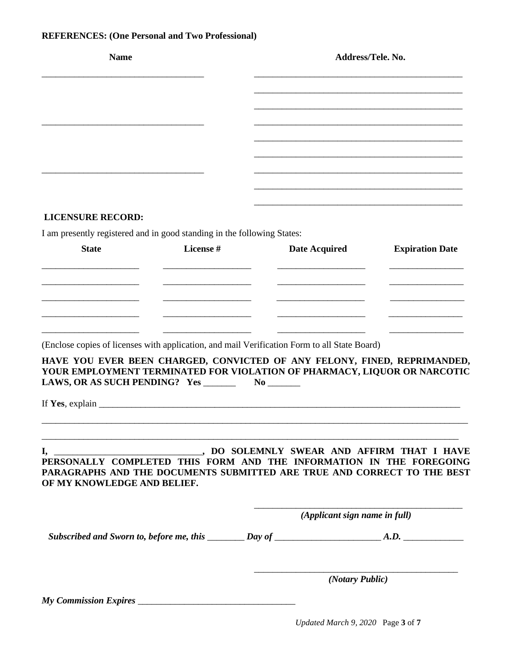## **REFERENCES: (One Personal and Two Professional)**

| <b>Name</b>                                                             |           |                                                                                                                                                      | Address/Tele. No.             |  |  |
|-------------------------------------------------------------------------|-----------|------------------------------------------------------------------------------------------------------------------------------------------------------|-------------------------------|--|--|
|                                                                         |           |                                                                                                                                                      |                               |  |  |
|                                                                         |           |                                                                                                                                                      |                               |  |  |
|                                                                         |           |                                                                                                                                                      |                               |  |  |
|                                                                         |           |                                                                                                                                                      |                               |  |  |
|                                                                         |           |                                                                                                                                                      |                               |  |  |
| <b>LICENSURE RECORD:</b>                                                |           |                                                                                                                                                      |                               |  |  |
| I am presently registered and in good standing in the following States: |           |                                                                                                                                                      |                               |  |  |
| <b>State</b>                                                            | License # | <b>Date Acquired</b>                                                                                                                                 | <b>Expiration Date</b>        |  |  |
|                                                                         |           |                                                                                                                                                      |                               |  |  |
|                                                                         |           |                                                                                                                                                      |                               |  |  |
|                                                                         |           |                                                                                                                                                      |                               |  |  |
|                                                                         |           | (Enclose copies of licenses with application, and mail Verification Form to all State Board)                                                         |                               |  |  |
| LAWS, OR AS SUCH PENDING? Yes ______                                    |           | HAVE YOU EVER BEEN CHARGED, CONVICTED OF ANY FELONY, FINED, REPRIMANDED,<br>YOUR EMPLOYMENT TERMINATED FOR VIOLATION OF PHARMACY, LIQUOR OR NARCOTIC |                               |  |  |
| If Yes, explain $\blacksquare$                                          |           |                                                                                                                                                      |                               |  |  |
|                                                                         |           |                                                                                                                                                      |                               |  |  |
| OF MY KNOWLEDGE AND BELIEF.                                             |           | PERSONALLY COMPLETED THIS FORM AND THE INFORMATION IN THE FOREGOING<br>PARAGRAPHS AND THE DOCUMENTS SUBMITTED ARE TRUE AND CORRECT TO THE BEST       |                               |  |  |
|                                                                         |           |                                                                                                                                                      | (Applicant sign name in full) |  |  |
|                                                                         |           |                                                                                                                                                      |                               |  |  |
|                                                                         |           | (Notary Public)                                                                                                                                      |                               |  |  |
|                                                                         |           |                                                                                                                                                      |                               |  |  |

*Updated March 9, 2020* Page **3** of **7**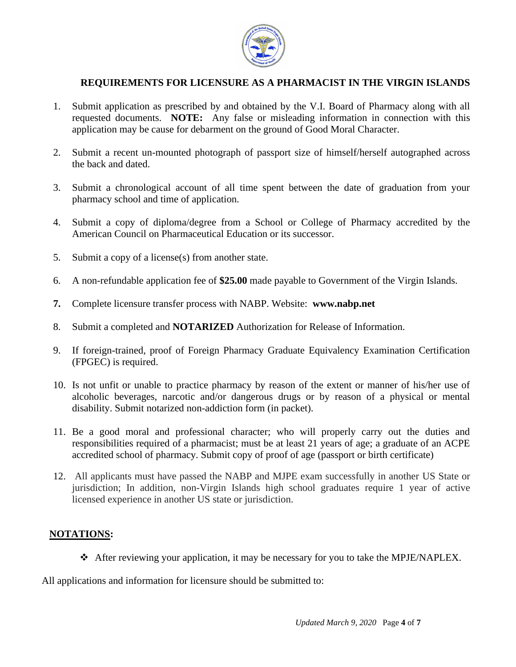

## **REQUIREMENTS FOR LICENSURE AS A PHARMACIST IN THE VIRGIN ISLANDS**

- 1. Submit application as prescribed by and obtained by the V.I. Board of Pharmacy along with all requested documents. **NOTE:** Any false or misleading information in connection with this application may be cause for debarment on the ground of Good Moral Character.
- 2. Submit a recent un-mounted photograph of passport size of himself/herself autographed across the back and dated.
- 3. Submit a chronological account of all time spent between the date of graduation from your pharmacy school and time of application.
- 4. Submit a copy of diploma/degree from a School or College of Pharmacy accredited by the American Council on Pharmaceutical Education or its successor.
- 5. Submit a copy of a license(s) from another state.
- 6. A non-refundable application fee of **\$25.00** made payable to Government of the Virgin Islands.
- **7.** Complete licensure transfer process with NABP. Website: **www.nabp.net**
- 8. Submit a completed and **NOTARIZED** Authorization for Release of Information.
- 9. If foreign-trained, proof of Foreign Pharmacy Graduate Equivalency Examination Certification (FPGEC) is required.
- 10. Is not unfit or unable to practice pharmacy by reason of the extent or manner of his/her use of alcoholic beverages, narcotic and/or dangerous drugs or by reason of a physical or mental disability. Submit notarized non-addiction form (in packet).
- 11. Be a good moral and professional character; who will properly carry out the duties and responsibilities required of a pharmacist; must be at least 21 years of age; a graduate of an ACPE accredited school of pharmacy. Submit copy of proof of age (passport or birth certificate)
- 12. All applicants must have passed the NABP and MJPE exam successfully in another US State or jurisdiction; In addition, non-Virgin Islands high school graduates require 1 year of active licensed experience in another US state or jurisdiction.

### **NOTATIONS:**

❖ After reviewing your application, it may be necessary for you to take the MPJE/NAPLEX.

All applications and information for licensure should be submitted to: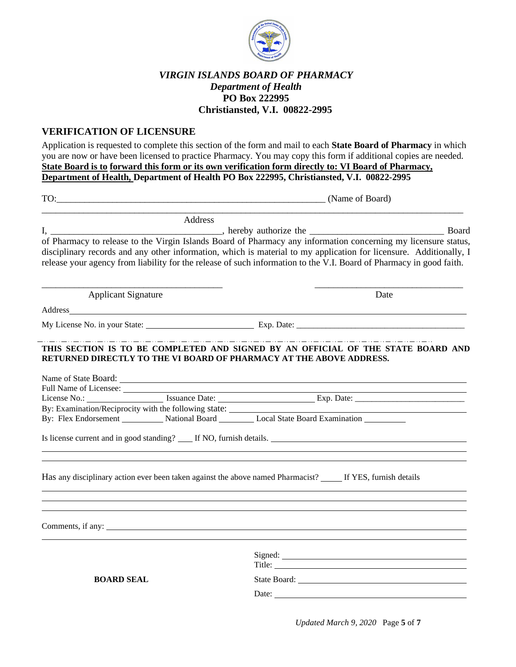

### *VIRGIN ISLANDS BOARD OF PHARMACY Department of Health* **PO Box 222995 Christiansted, V.I. 00822-2995**

#### **VERIFICATION OF LICENSURE**

Application is requested to complete this section of the form and mail to each **State Board of Pharmacy** in which you are now or have been licensed to practice Pharmacy. You may copy this form if additional copies are needed. **State Board is to forward this form or its own verification form directly to: VI Board of Pharmacy, Department of Health, Department of Health PO Box 222995, Christiansted, V.I. 00822-2995**

|                                                                                  | TO: (Name of Board)                                                                                                                                                                                                                                                                                                                                         |  |  |  |
|----------------------------------------------------------------------------------|-------------------------------------------------------------------------------------------------------------------------------------------------------------------------------------------------------------------------------------------------------------------------------------------------------------------------------------------------------------|--|--|--|
| Address                                                                          |                                                                                                                                                                                                                                                                                                                                                             |  |  |  |
|                                                                                  |                                                                                                                                                                                                                                                                                                                                                             |  |  |  |
|                                                                                  | of Pharmacy to release to the Virgin Islands Board of Pharmacy any information concerning my licensure status,<br>disciplinary records and any other information, which is material to my application for licensure. Additionally, I<br>release your agency from liability for the release of such information to the V.I. Board of Pharmacy in good faith. |  |  |  |
| <b>Applicant Signature</b>                                                       | Date                                                                                                                                                                                                                                                                                                                                                        |  |  |  |
|                                                                                  |                                                                                                                                                                                                                                                                                                                                                             |  |  |  |
|                                                                                  | My License No. in your State: Exp. Date: Exp. Date:                                                                                                                                                                                                                                                                                                         |  |  |  |
| By: Examination/Reciprocity with the following state: __________________________ | THIS SECTION IS TO BE COMPLETED AND SIGNED BY AN OFFICIAL OF THE STATE BOARD AND<br>RETURNED DIRECTLY TO THE VI BOARD OF PHARMACY AT THE ABOVE ADDRESS.<br>By: Flex Endorsement __________ National Board ________ Local State Board Examination _________                                                                                                  |  |  |  |
|                                                                                  | Is license current and in good standing? The NO, furnish details.<br>,我们也不会有什么。""我们的人,我们也不会有什么?""我们的人,我们也不会有什么?""我们的人,我们的人,我们的人,我们的人,我们的人,我们的人,我们的人,我                                                                                                                                                                                                       |  |  |  |
|                                                                                  | Has any disciplinary action ever been taken against the above named Pharmacist? _____ If YES, furnish details                                                                                                                                                                                                                                               |  |  |  |
|                                                                                  |                                                                                                                                                                                                                                                                                                                                                             |  |  |  |
| <b>BOARD SEAL</b>                                                                |                                                                                                                                                                                                                                                                                                                                                             |  |  |  |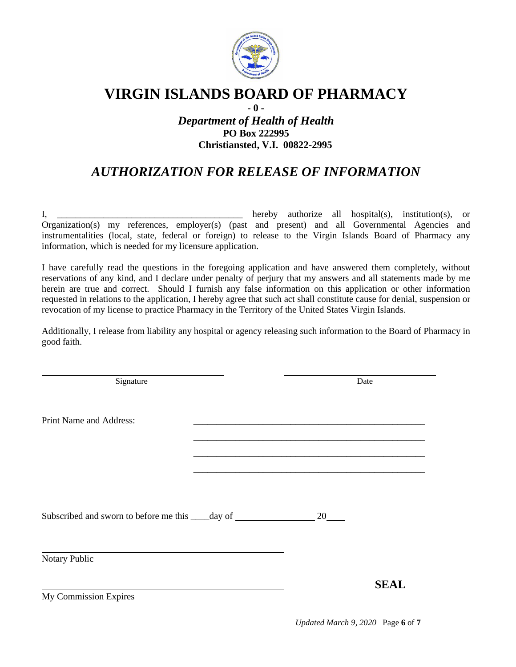

## **VIRGIN ISLANDS BOARD OF PHARMACY**

## **- 0 -** *Department of Health of Health* **PO Box 222995 Christiansted, V.I. 00822-2995**

## *AUTHORIZATION FOR RELEASE OF INFORMATION*

I, \_\_\_\_\_\_\_\_\_\_\_\_\_\_\_\_\_\_\_\_\_\_\_\_\_\_\_\_\_\_\_\_\_\_\_\_\_\_\_\_ hereby authorize all hospital(s), institution(s), or Organization(s) my references, employer(s) (past and present) and all Governmental Agencies and instrumentalities (local, state, federal or foreign) to release to the Virgin Islands Board of Pharmacy any information, which is needed for my licensure application.

I have carefully read the questions in the foregoing application and have answered them completely, without reservations of any kind, and I declare under penalty of perjury that my answers and all statements made by me herein are true and correct. Should I furnish any false information on this application or other information requested in relations to the application, I hereby agree that such act shall constitute cause for denial, suspension or revocation of my license to practice Pharmacy in the Territory of the United States Virgin Islands.

Additionally, I release from liability any hospital or agency releasing such information to the Board of Pharmacy in good faith.

| Signature                                                                        |    | Date        |
|----------------------------------------------------------------------------------|----|-------------|
| Print Name and Address:                                                          |    |             |
|                                                                                  |    |             |
|                                                                                  |    |             |
| Subscribed and sworn to before me this _____ day of ____________________________ | 20 |             |
| Notary Public                                                                    |    |             |
| My Commission Expires                                                            |    | <b>SEAL</b> |